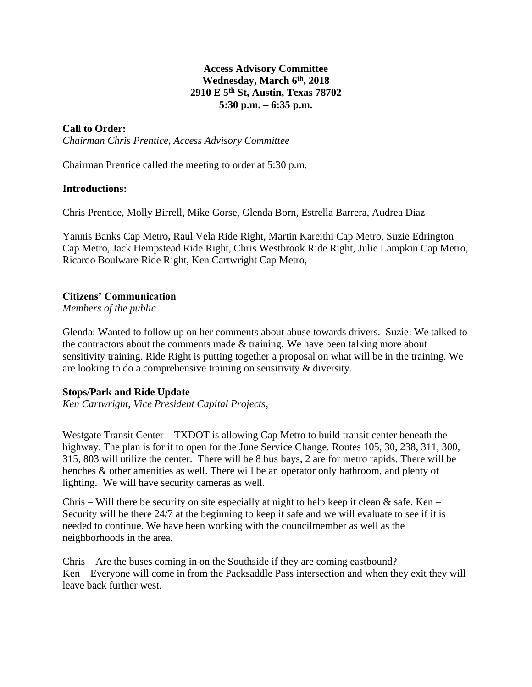# **Access Advisory Committee Wednesday, March 6 th , 2018 2910 E 5th St, Austin, Texas 78702 5:30 p.m. – 6:35 p.m.**

# **Call to Order:**

*Chairman Chris Prentice, Access Advisory Committee*

Chairman Prentice called the meeting to order at 5:30 p.m.

#### **Introductions:**

Chris Prentice, Molly Birrell, Mike Gorse, Glenda Born, Estrella Barrera, Audrea Diaz

Yannis Banks Cap Metro**,** Raul Vela Ride Right, Martin Kareithi Cap Metro, Suzie Edrington Cap Metro, Jack Hempstead Ride Right, Chris Westbrook Ride Right, Julie Lampkin Cap Metro, Ricardo Boulware Ride Right, Ken Cartwright Cap Metro,

### **Citizens' Communication**

*Members of the public*

Glenda: Wanted to follow up on her comments about abuse towards drivers. Suzie: We talked to the contractors about the comments made & training. We have been talking more about sensitivity training. Ride Right is putting together a proposal on what will be in the training. We are looking to do a comprehensive training on sensitivity & diversity.

### **Stops/Park and Ride Update**

*Ken Cartwright, Vice President Capital Projects,* 

Westgate Transit Center – TXDOT is allowing Cap Metro to build transit center beneath the highway. The plan is for it to open for the June Service Change. Routes 105, 30, 238, 311, 300, 315, 803 will utilize the center. There will be 8 bus bays, 2 are for metro rapids. There will be benches & other amenities as well. There will be an operator only bathroom, and plenty of lighting. We will have security cameras as well.

Chris – Will there be security on site especially at night to help keep it clean & safe. Ken – Security will be there 24/7 at the beginning to keep it safe and we will evaluate to see if it is needed to continue. We have been working with the councilmember as well as the neighborhoods in the area.

Chris – Are the buses coming in on the Southside if they are coming eastbound? Ken – Everyone will come in from the Packsaddle Pass intersection and when they exit they will leave back further west.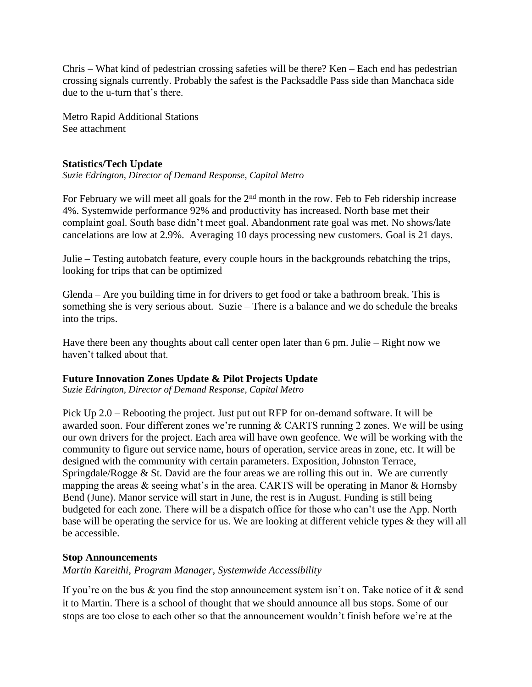Chris – What kind of pedestrian crossing safeties will be there? Ken – Each end has pedestrian crossing signals currently. Probably the safest is the Packsaddle Pass side than Manchaca side due to the u-turn that's there.

Metro Rapid Additional Stations See attachment

# **Statistics/Tech Update**

*Suzie Edrington, Director of Demand Response, Capital Metro*

For February we will meet all goals for the  $2<sup>nd</sup>$  month in the row. Feb to Feb ridership increase 4%. Systemwide performance 92% and productivity has increased. North base met their complaint goal. South base didn't meet goal. Abandonment rate goal was met. No shows/late cancelations are low at 2.9%. Averaging 10 days processing new customers. Goal is 21 days.

Julie – Testing autobatch feature, every couple hours in the backgrounds rebatching the trips, looking for trips that can be optimized

Glenda – Are you building time in for drivers to get food or take a bathroom break. This is something she is very serious about. Suzie – There is a balance and we do schedule the breaks into the trips.

Have there been any thoughts about call center open later than 6 pm. Julie – Right now we haven't talked about that.

# **Future Innovation Zones Update & Pilot Projects Update**

*Suzie Edrington, Director of Demand Response, Capital Metro*

Pick Up 2.0 – Rebooting the project. Just put out RFP for on-demand software. It will be awarded soon. Four different zones we're running & CARTS running 2 zones. We will be using our own drivers for the project. Each area will have own geofence. We will be working with the community to figure out service name, hours of operation, service areas in zone, etc. It will be designed with the community with certain parameters. Exposition, Johnston Terrace, Springdale/Rogge & St. David are the four areas we are rolling this out in. We are currently mapping the areas & seeing what's in the area. CARTS will be operating in Manor & Hornsby Bend (June). Manor service will start in June, the rest is in August. Funding is still being budgeted for each zone. There will be a dispatch office for those who can't use the App. North base will be operating the service for us. We are looking at different vehicle types & they will all be accessible.

### **Stop Announcements**

*Martin Kareithi, Program Manager, Systemwide Accessibility*

If you're on the bus  $\&$  you find the stop announcement system isn't on. Take notice of it  $\&$  send it to Martin. There is a school of thought that we should announce all bus stops. Some of our stops are too close to each other so that the announcement wouldn't finish before we're at the